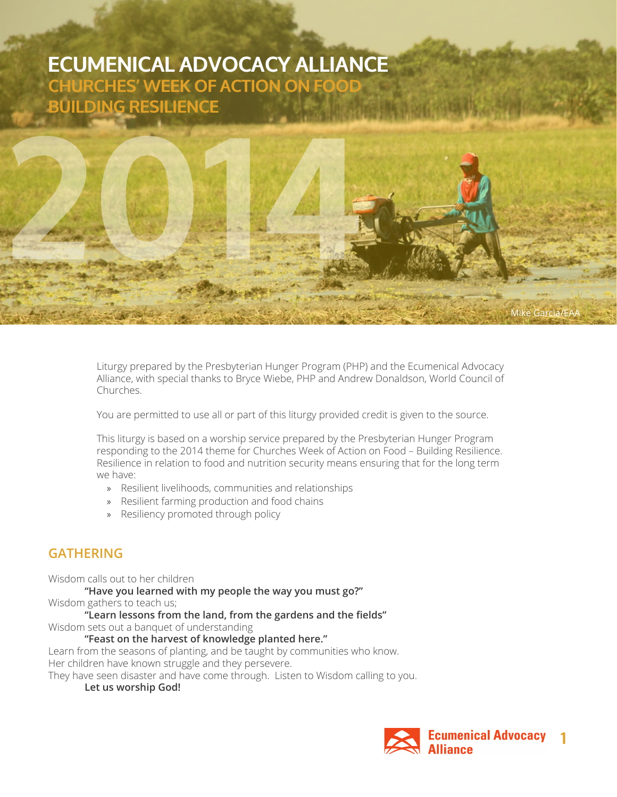# **ECUMENICAL ADVOCACY ALLIANCE CHURCHES' WEEK OF ACTION ON FOOD BUILDING RESILIENCE**

**2014**

Liturgy prepared by the Presbyterian Hunger Program (PHP) and the Ecumenical Advocacy Alliance, with special thanks to Bryce Wiebe, PHP and Andrew Donaldson, World Council of Churches.

You are permitted to use all or part of this liturgy provided credit is given to the source.

This liturgy is based on a worship service prepared by the Presbyterian Hunger Program responding to the 2014 theme for Churches Week of Action on Food – Building Resilience. Resilience in relation to food and nutrition security means ensuring that for the long term we have:

- » Resilient livelihoods, communities and relationships
- » Resilient farming production and food chains
- » Resiliency promoted through policy

### **GATHERING**

Wisdom calls out to her children

**"Have you learned with my people the way you must go?"**

Wisdom gathers to teach us;

**"Learn lessons from the land, from the gardens and the fields"**

Wisdom sets out a banquet of understanding

#### **"Feast on the harvest of knowledge planted here."**

Learn from the seasons of planting, and be taught by communities who know. Her children have known struggle and they persevere.

They have seen disaster and have come through. Listen to Wisdom calling to you.

### **Let us worship God!**



Mike Garcia/EAA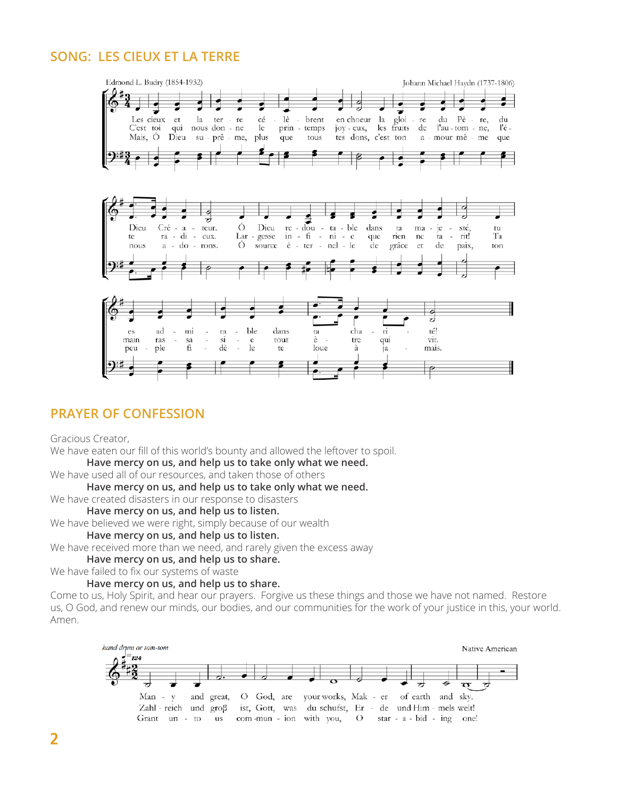# **SONG: LES CIEUX ET LA TERRE**



# **PRAYER OF CONFESSION**

Gracious Creator,

We have eaten our fill of this world's bounty and allowed the leftover to spoil.

**Have mercy on us, and help us to take only what we need.**

We have used all of our resources, and taken those of others

**Have mercy on us, and help us to take only what we need.**

We have created disasters in our response to disasters

#### **Have mercy on us, and help us to listen.**

We have believed we were right, simply because of our wealth

**Have mercy on us, and help us to listen.**

We have received more than we need, and rarely given the excess away

#### **Have mercy on us, and help us to share.**

We have failed to fix our systems of waste

### **Have mercy on us, and help us to share.**

Come to us, Holy Spirit, and hear our prayers. Forgive us these things and those we have not named. Restore us, O God, and renew our minds, our bodies, and our communities for the work of your justice in this, your world. Amen.

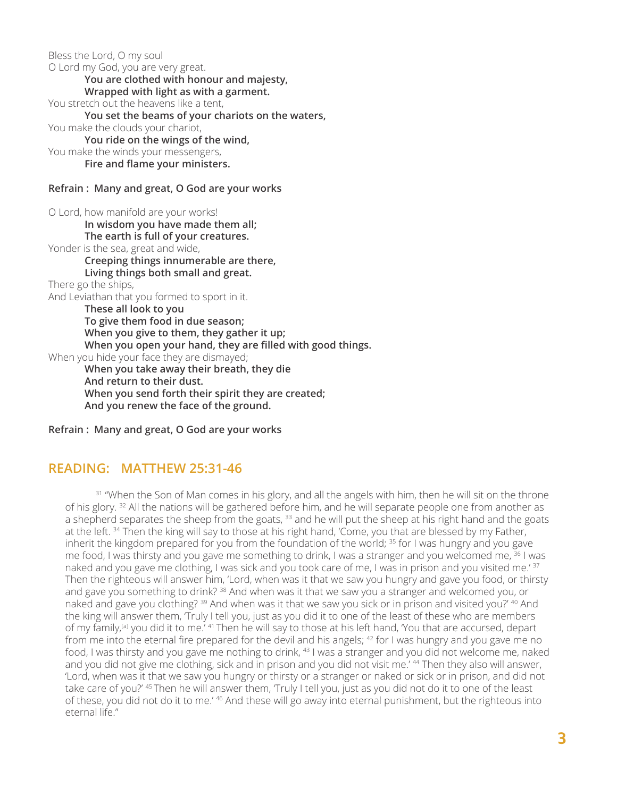Bless the Lord, O my soul O Lord my God, you are very great. **You are clothed with honour and majesty, Wrapped with light as with a garment.** You stretch out the heavens like a tent, **You set the beams of your chariots on the waters,** You make the clouds your chariot, **You ride on the wings of the wind,** You make the winds your messengers, **Fire and flame your ministers. Refrain : Many and great, O God are your works** O Lord, how manifold are your works! **In wisdom you have made them all; The earth is full of your creatures.** Yonder is the sea, great and wide, **Creeping things innumerable are there, Living things both small and great.** There go the ships, And Leviathan that you formed to sport in it. **These all look to you To give them food in due season; When you give to them, they gather it up;**

**When you open your hand, they are filled with good things.**

When you hide your face they are dismayed;

**When you take away their breath, they die And return to their dust. When you send forth their spirit they are created;**

**And you renew the face of the ground.**

**Refrain : Many and great, O God are your works**

### **READING: MATTHEW 25:31-46**

<sup>31</sup> "When the Son of Man comes in his glory, and all the angels with him, then he will sit on the throne of his glory. <sup>32</sup> All the nations will be gathered before him, and he will separate people one from another as a shepherd separates the sheep from the goats, <sup>33</sup> and he will put the sheep at his right hand and the goats at the left.<sup>34</sup> Then the king will say to those at his right hand, 'Come, you that are blessed by my Father, inherit the kingdom prepared for you from the foundation of the world; <sup>35</sup> for I was hungry and you gave me food, I was thirsty and you gave me something to drink, I was a stranger and you welcomed me, <sup>36</sup> I was naked and you gave me clothing, I was sick and you took care of me, I was in prison and you visited me.<sup>' 37</sup> Then the righteous will answer him, 'Lord, when was it that we saw you hungry and gave you food, or thirsty and gave you something to drink? <sup>38</sup> And when was it that we saw you a stranger and welcomed you, or naked and gave you clothing? <sup>39</sup> And when was it that we saw you sick or in prison and visited you?' <sup>40</sup> And the king will answer them, 'Truly I tell you, just as you did it to one of the least of these who are members of my family,<sup>[a]</sup> you did it to me.<sup>' 41</sup> Then he will say to those at his left hand, 'You that are accursed, depart from me into the eternal fire prepared for the devil and his angels;  $42$  for I was hungry and you gave me no food, I was thirsty and you gave me nothing to drink, <sup>43</sup> I was a stranger and you did not welcome me, naked and you did not give me clothing, sick and in prison and you did not visit me.' 44 Then they also will answer, 'Lord, when was it that we saw you hungry or thirsty or a stranger or naked or sick or in prison, and did not take care of you?' <sup>45</sup> Then he will answer them, 'Truly I tell you, just as you did not do it to one of the least of these, you did not do it to me.' 46 And these will go away into eternal punishment, but the righteous into eternal life."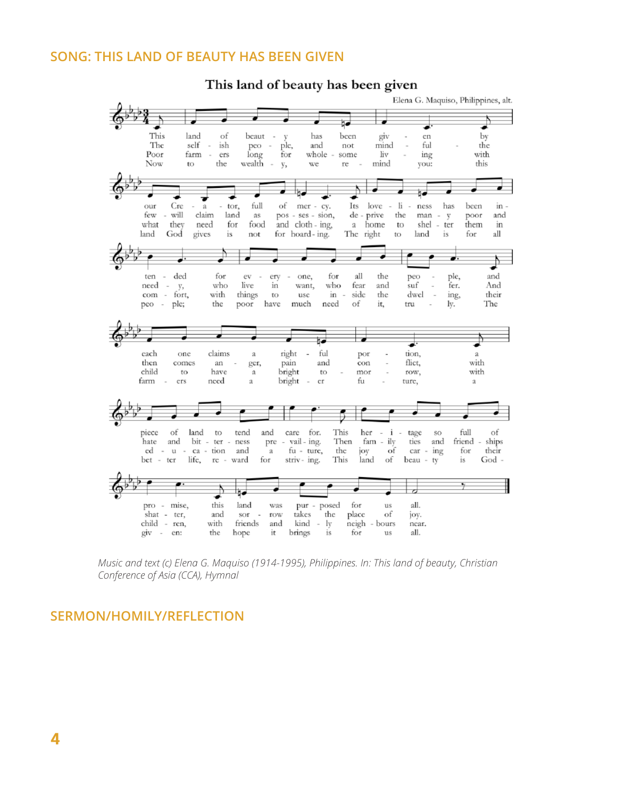### **SONG: THIS LAND OF BEAUTY HAS BEEN GIVEN**

This land of beauty has been given



*Music and text (c) Elena G. Maquiso (1914-1995), Philippines. In: This land of beauty, Christian Conference of Asia (CCA), Hymnal*

### **SERMON/HOMILY/REFLECTION**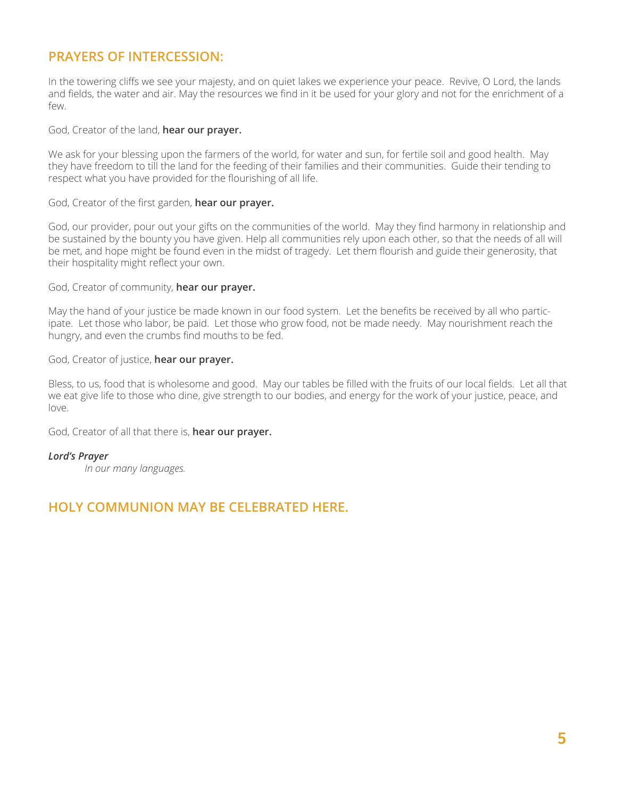# **PRAYERS OF INTERCESSION:**

In the towering cliffs we see your majesty, and on quiet lakes we experience your peace. Revive, O Lord, the lands and fields, the water and air. May the resources we find in it be used for your glory and not for the enrichment of a few.

### God, Creator of the land, **hear our prayer.**

We ask for your blessing upon the farmers of the world, for water and sun, for fertile soil and good health. May they have freedom to till the land for the feeding of their families and their communities. Guide their tending to respect what you have provided for the flourishing of all life.

### God, Creator of the first garden, **hear our prayer.**

God, our provider, pour out your gifts on the communities of the world. May they find harmony in relationship and be sustained by the bounty you have given. Help all communities rely upon each other, so that the needs of all will be met, and hope might be found even in the midst of tragedy. Let them flourish and guide their generosity, that their hospitality might reflect your own.

#### God, Creator of community, **hear our prayer.**

May the hand of your justice be made known in our food system. Let the benefits be received by all who participate. Let those who labor, be paid. Let those who grow food, not be made needy. May nourishment reach the hungry, and even the crumbs find mouths to be fed.

### God, Creator of justice, **hear our prayer.**

Bless, to us, food that is wholesome and good. May our tables be filled with the fruits of our local fields. Let all that we eat give life to those who dine, give strength to our bodies, and energy for the work of your justice, peace, and love.

God, Creator of all that there is, **hear our prayer.**

### *Lord's Prayer*

*In our many languages.*

### **HOLY COMMUNION MAY BE CELEBRATED HERE.**